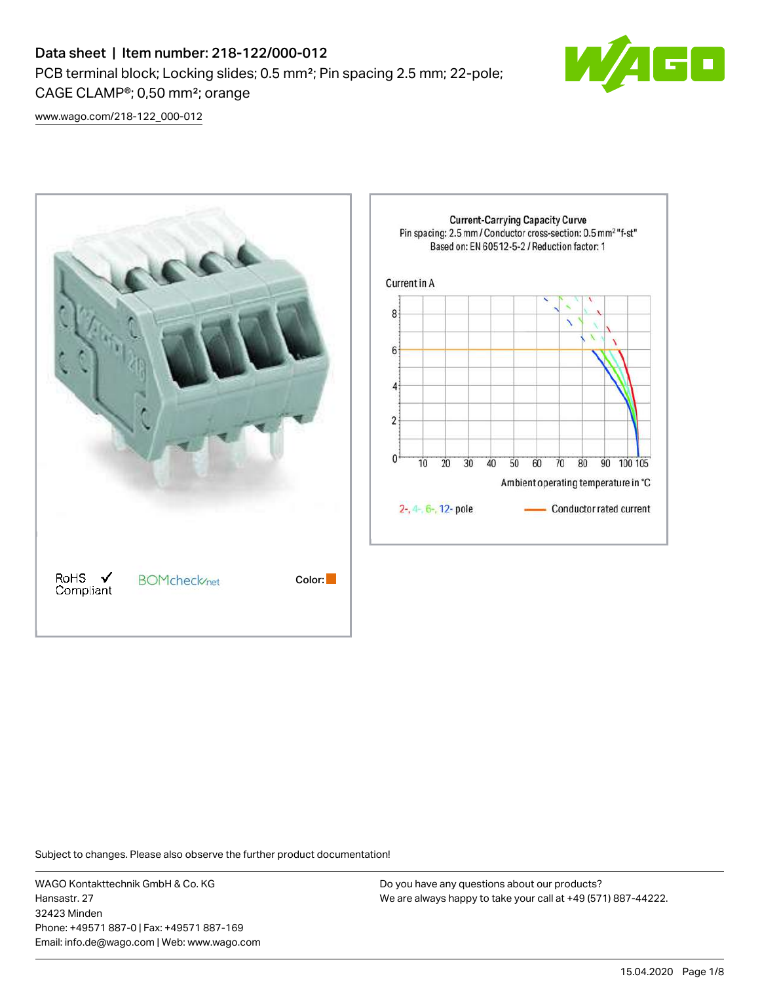# Data sheet | Item number: 218-122/000-012 PCB terminal block; Locking slides; 0.5 mm²; Pin spacing 2.5 mm; 22-pole; CAGE CLAMP®; 0,50 mm²; orange



[www.wago.com/218-122\\_000-012](http://www.wago.com/218-122_000-012)



Subject to changes. Please also observe the further product documentation!

WAGO Kontakttechnik GmbH & Co. KG Hansastr. 27 32423 Minden Phone: +49571 887-0 | Fax: +49571 887-169 Email: info.de@wago.com | Web: www.wago.com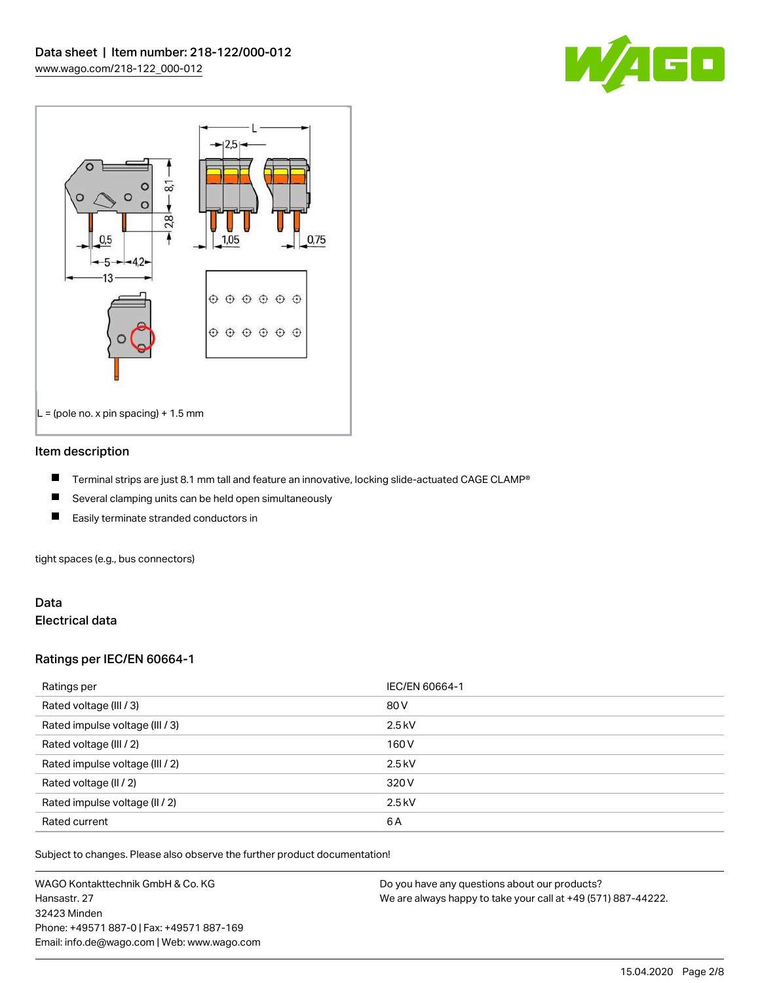



#### Item description

- П Terminal strips are just 8.1 mm tall and feature an innovative, locking slide-actuated CAGE CLAMP®
- $\blacksquare$ Several clamping units can be held open simultaneously
- П Easily terminate stranded conductors in

tight spaces (e.g., bus connectors)

## Data Electrical data

## Ratings per IEC/EN 60664-1

| Ratings per                     | IEC/EN 60664-1 |
|---------------------------------|----------------|
| Rated voltage (III / 3)         | 80 V           |
| Rated impulse voltage (III / 3) | $2.5$ kV       |
| Rated voltage (III / 2)         | 160 V          |
| Rated impulse voltage (III / 2) | $2.5$ kV       |
| Rated voltage (II / 2)          | 320 V          |
| Rated impulse voltage (II / 2)  | $2.5$ kV       |
| Rated current                   | 6A             |

Subject to changes. Please also observe the further product documentation!

WAGO Kontakttechnik GmbH & Co. KG Hansastr. 27 32423 Minden Phone: +49571 887-0 | Fax: +49571 887-169 Email: info.de@wago.com | Web: www.wago.com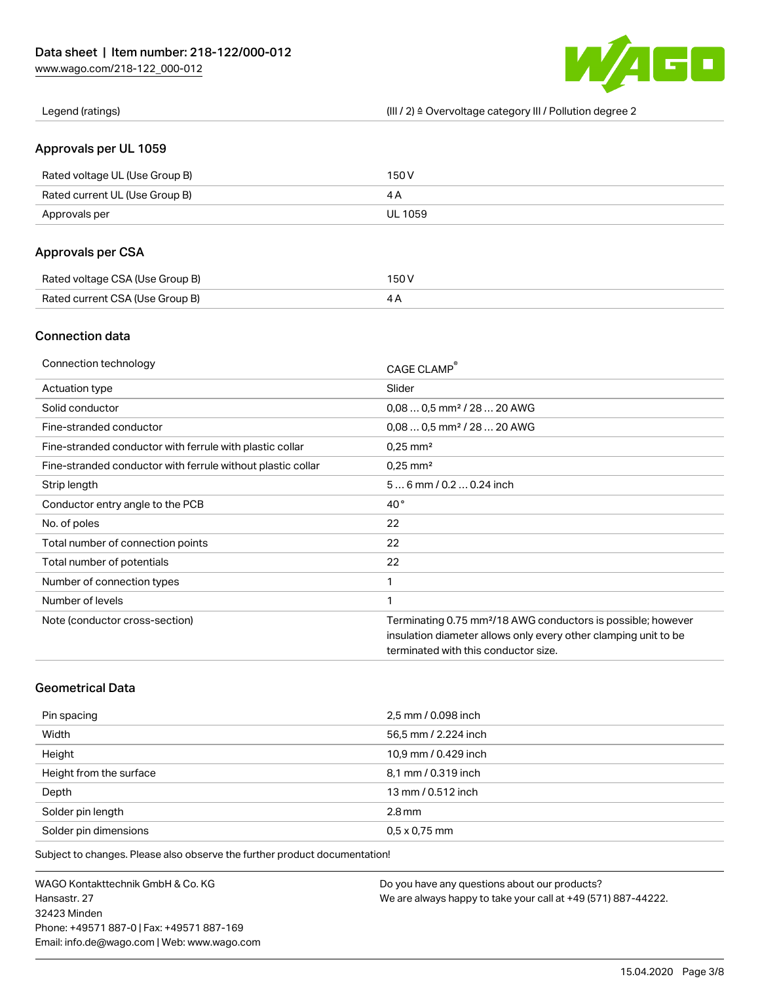60 W

Legend (ratings) (III / 2) ≙ Overvoltage category III / Pollution degree 2

## Approvals per UL 1059

| Rated voltage UL (Use Group B) | 150 V   |
|--------------------------------|---------|
| Rated current UL (Use Group B) |         |
| Approvals per                  | UL 1059 |

# Approvals per CSA

| Rated voltage CSA (Use Group B) | 150 V |
|---------------------------------|-------|
| Rated current CSA (Use Group B) |       |

# Connection data

| Connection technology                                       | CAGE CLAMP®                                                              |
|-------------------------------------------------------------|--------------------------------------------------------------------------|
| Actuation type                                              | Slider                                                                   |
| Solid conductor                                             | $0.080.5$ mm <sup>2</sup> / 28  20 AWG                                   |
| Fine-stranded conductor                                     | $0.080.5$ mm <sup>2</sup> / 28  20 AWG                                   |
| Fine-stranded conductor with ferrule with plastic collar    | $0.25$ mm <sup>2</sup>                                                   |
| Fine-stranded conductor with ferrule without plastic collar | $0.25$ mm <sup>2</sup>                                                   |
| Strip length                                                | $56$ mm $/ 0.20.24$ inch                                                 |
| Conductor entry angle to the PCB                            | $40^{\circ}$                                                             |
| No. of poles                                                | 22                                                                       |
| Total number of connection points                           | 22                                                                       |
| Total number of potentials                                  | 22                                                                       |
| Number of connection types                                  | 1                                                                        |
| Number of levels                                            | 1                                                                        |
| Note (conductor cross-section)                              | Terminating 0.75 mm <sup>2</sup> /18 AWG conductors is possible; however |
|                                                             | insulation diameter allows only every other clamping unit to be          |
|                                                             | terminated with this conductor size.                                     |

# Geometrical Data

| Pin spacing             | 2,5 mm / 0.098 inch  |
|-------------------------|----------------------|
| Width                   | 56,5 mm / 2.224 inch |
| Height                  | 10,9 mm / 0.429 inch |
| Height from the surface | 8,1 mm / 0.319 inch  |
| Depth                   | 13 mm / 0.512 inch   |
| Solder pin length       | $2.8 \,\mathrm{mm}$  |
| Solder pin dimensions   | $0.5 \times 0.75$ mm |

Subject to changes. Please also observe the further product documentation!

WAGO Kontakttechnik GmbH & Co. KG Hansastr. 27 32423 Minden Phone: +49571 887-0 | Fax: +49571 887-169 Email: info.de@wago.com | Web: www.wago.com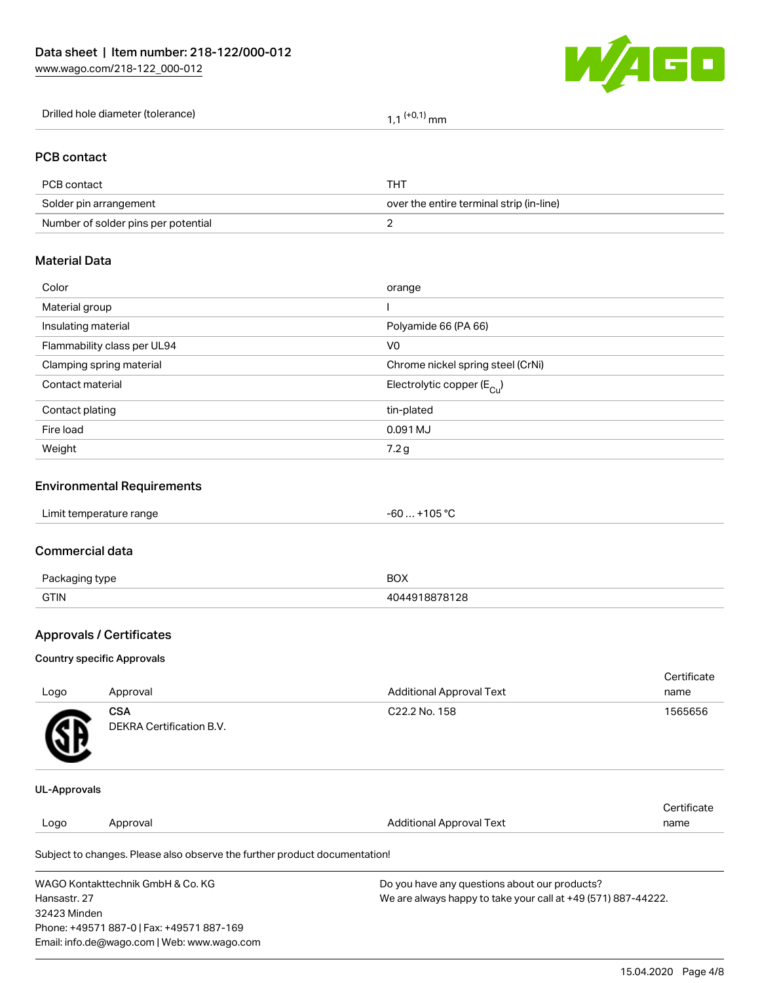

| Drilled hole diameter (tolerance) | 1 <sup>(+0,1)</sup> mm |
|-----------------------------------|------------------------|
|-----------------------------------|------------------------|

## PCB contact

| PCB contact                         | THT                                      |
|-------------------------------------|------------------------------------------|
| Solder pin arrangement              | over the entire terminal strip (in-line) |
| Number of solder pins per potential |                                          |

## Material Data

| Color                       | orange                                |
|-----------------------------|---------------------------------------|
| Material group              |                                       |
| Insulating material         | Polyamide 66 (PA 66)                  |
| Flammability class per UL94 | V <sub>0</sub>                        |
| Clamping spring material    | Chrome nickel spring steel (CrNi)     |
| Contact material            | Electrolytic copper $(E_{\text{Cl}})$ |
| Contact plating             | tin-plated                            |
| Fire load                   | 0.091 MJ                              |
| Weight                      | 7.2 g                                 |
|                             |                                       |

# Environmental Requirements

#### Commercial data

| $D_{20}$<br>aina type | BOX   |
|-----------------------|-------|
| <b>GTIN</b>           | 78128 |

# Approvals / Certificates

#### Country specific Approvals

| Logo           | Approval                               | <b>Additional Approval Text</b> | Certificate<br>name |
|----------------|----------------------------------------|---------------------------------|---------------------|
| <b>TA</b><br>Φ | <b>CSA</b><br>DEKRA Certification B.V. | C22.2 No. 158                   | 1565656             |
|                |                                        |                                 |                     |

#### UL-Approvals

|      |          |                                                                            | Certificate |
|------|----------|----------------------------------------------------------------------------|-------------|
| Logo | Approval | <b>Additional Approval Text</b>                                            | name        |
|      |          | Subject to changes. Please also observe the further product documentation! |             |

WAGO Kontakttechnik GmbH & Co. KG Hansastr. 27 32423 Minden Phone: +49571 887-0 | Fax: +49571 887-169 Email: info.de@wago.com | Web: www.wago.com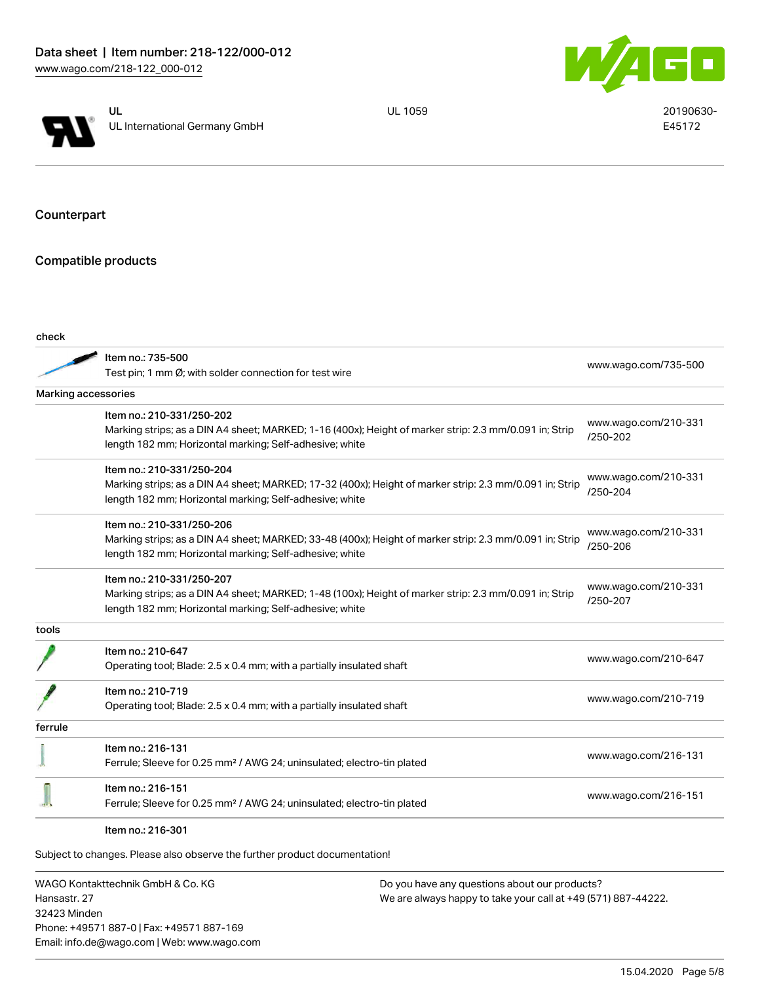



UL 1059 20190630-E45172

Counterpart

Compatible products

| Item no.: 735-500<br>Test pin; 1 mm Ø; with solder connection for test wire<br>Marking accessories<br>Item no.: 210-331/250-202<br>www.wago.com/210-331<br>Marking strips; as a DIN A4 sheet; MARKED; 1-16 (400x); Height of marker strip: 2.3 mm/0.091 in; Strip<br>/250-202<br>length 182 mm; Horizontal marking; Self-adhesive; white<br>Item no.: 210-331/250-204<br>www.wago.com/210-331<br>Marking strips; as a DIN A4 sheet; MARKED; 17-32 (400x); Height of marker strip: 2.3 mm/0.091 in; Strip<br>/250-204<br>length 182 mm; Horizontal marking; Self-adhesive; white<br>Item no.: 210-331/250-206<br>www.wago.com/210-331<br>Marking strips; as a DIN A4 sheet; MARKED; 33-48 (400x); Height of marker strip: 2.3 mm/0.091 in; Strip<br>/250-206<br>length 182 mm; Horizontal marking; Self-adhesive; white<br>Item no.: 210-331/250-207<br>www.wago.com/210-331<br>Marking strips; as a DIN A4 sheet; MARKED; 1-48 (100x); Height of marker strip: 2.3 mm/0.091 in; Strip<br>/250-207<br>length 182 mm; Horizontal marking; Self-adhesive; white<br>tools<br>Item no.: 210-647<br>www.wago.com/210-647<br>Operating tool; Blade: 2.5 x 0.4 mm; with a partially insulated shaft<br>Item no.: 210-719<br>www.wago.com/210-719<br>Operating tool; Blade: 2.5 x 0.4 mm; with a partially insulated shaft<br>ferrule<br>Item no.: 216-131<br>www.wago.com/216-131<br>Ferrule; Sleeve for 0.25 mm <sup>2</sup> / AWG 24; uninsulated; electro-tin plated<br>Item no.: 216-151<br>www.wago.com/216-151<br>Ferrule; Sleeve for 0.25 mm <sup>2</sup> / AWG 24; uninsulated; electro-tin plated | check |                      |
|----------------------------------------------------------------------------------------------------------------------------------------------------------------------------------------------------------------------------------------------------------------------------------------------------------------------------------------------------------------------------------------------------------------------------------------------------------------------------------------------------------------------------------------------------------------------------------------------------------------------------------------------------------------------------------------------------------------------------------------------------------------------------------------------------------------------------------------------------------------------------------------------------------------------------------------------------------------------------------------------------------------------------------------------------------------------------------------------------------------------------------------------------------------------------------------------------------------------------------------------------------------------------------------------------------------------------------------------------------------------------------------------------------------------------------------------------------------------------------------------------------------------------------------------------------------------------------------------------|-------|----------------------|
|                                                                                                                                                                                                                                                                                                                                                                                                                                                                                                                                                                                                                                                                                                                                                                                                                                                                                                                                                                                                                                                                                                                                                                                                                                                                                                                                                                                                                                                                                                                                                                                                    |       | www.wago.com/735-500 |
|                                                                                                                                                                                                                                                                                                                                                                                                                                                                                                                                                                                                                                                                                                                                                                                                                                                                                                                                                                                                                                                                                                                                                                                                                                                                                                                                                                                                                                                                                                                                                                                                    |       |                      |
|                                                                                                                                                                                                                                                                                                                                                                                                                                                                                                                                                                                                                                                                                                                                                                                                                                                                                                                                                                                                                                                                                                                                                                                                                                                                                                                                                                                                                                                                                                                                                                                                    |       |                      |
|                                                                                                                                                                                                                                                                                                                                                                                                                                                                                                                                                                                                                                                                                                                                                                                                                                                                                                                                                                                                                                                                                                                                                                                                                                                                                                                                                                                                                                                                                                                                                                                                    |       |                      |
|                                                                                                                                                                                                                                                                                                                                                                                                                                                                                                                                                                                                                                                                                                                                                                                                                                                                                                                                                                                                                                                                                                                                                                                                                                                                                                                                                                                                                                                                                                                                                                                                    |       |                      |
|                                                                                                                                                                                                                                                                                                                                                                                                                                                                                                                                                                                                                                                                                                                                                                                                                                                                                                                                                                                                                                                                                                                                                                                                                                                                                                                                                                                                                                                                                                                                                                                                    |       |                      |
|                                                                                                                                                                                                                                                                                                                                                                                                                                                                                                                                                                                                                                                                                                                                                                                                                                                                                                                                                                                                                                                                                                                                                                                                                                                                                                                                                                                                                                                                                                                                                                                                    |       |                      |
|                                                                                                                                                                                                                                                                                                                                                                                                                                                                                                                                                                                                                                                                                                                                                                                                                                                                                                                                                                                                                                                                                                                                                                                                                                                                                                                                                                                                                                                                                                                                                                                                    |       |                      |
|                                                                                                                                                                                                                                                                                                                                                                                                                                                                                                                                                                                                                                                                                                                                                                                                                                                                                                                                                                                                                                                                                                                                                                                                                                                                                                                                                                                                                                                                                                                                                                                                    |       |                      |
|                                                                                                                                                                                                                                                                                                                                                                                                                                                                                                                                                                                                                                                                                                                                                                                                                                                                                                                                                                                                                                                                                                                                                                                                                                                                                                                                                                                                                                                                                                                                                                                                    |       |                      |
|                                                                                                                                                                                                                                                                                                                                                                                                                                                                                                                                                                                                                                                                                                                                                                                                                                                                                                                                                                                                                                                                                                                                                                                                                                                                                                                                                                                                                                                                                                                                                                                                    |       |                      |
|                                                                                                                                                                                                                                                                                                                                                                                                                                                                                                                                                                                                                                                                                                                                                                                                                                                                                                                                                                                                                                                                                                                                                                                                                                                                                                                                                                                                                                                                                                                                                                                                    |       |                      |
|                                                                                                                                                                                                                                                                                                                                                                                                                                                                                                                                                                                                                                                                                                                                                                                                                                                                                                                                                                                                                                                                                                                                                                                                                                                                                                                                                                                                                                                                                                                                                                                                    |       |                      |
|                                                                                                                                                                                                                                                                                                                                                                                                                                                                                                                                                                                                                                                                                                                                                                                                                                                                                                                                                                                                                                                                                                                                                                                                                                                                                                                                                                                                                                                                                                                                                                                                    |       |                      |
|                                                                                                                                                                                                                                                                                                                                                                                                                                                                                                                                                                                                                                                                                                                                                                                                                                                                                                                                                                                                                                                                                                                                                                                                                                                                                                                                                                                                                                                                                                                                                                                                    |       |                      |
|                                                                                                                                                                                                                                                                                                                                                                                                                                                                                                                                                                                                                                                                                                                                                                                                                                                                                                                                                                                                                                                                                                                                                                                                                                                                                                                                                                                                                                                                                                                                                                                                    |       |                      |
|                                                                                                                                                                                                                                                                                                                                                                                                                                                                                                                                                                                                                                                                                                                                                                                                                                                                                                                                                                                                                                                                                                                                                                                                                                                                                                                                                                                                                                                                                                                                                                                                    |       |                      |
|                                                                                                                                                                                                                                                                                                                                                                                                                                                                                                                                                                                                                                                                                                                                                                                                                                                                                                                                                                                                                                                                                                                                                                                                                                                                                                                                                                                                                                                                                                                                                                                                    |       |                      |
|                                                                                                                                                                                                                                                                                                                                                                                                                                                                                                                                                                                                                                                                                                                                                                                                                                                                                                                                                                                                                                                                                                                                                                                                                                                                                                                                                                                                                                                                                                                                                                                                    |       |                      |
|                                                                                                                                                                                                                                                                                                                                                                                                                                                                                                                                                                                                                                                                                                                                                                                                                                                                                                                                                                                                                                                                                                                                                                                                                                                                                                                                                                                                                                                                                                                                                                                                    |       |                      |
|                                                                                                                                                                                                                                                                                                                                                                                                                                                                                                                                                                                                                                                                                                                                                                                                                                                                                                                                                                                                                                                                                                                                                                                                                                                                                                                                                                                                                                                                                                                                                                                                    |       |                      |
|                                                                                                                                                                                                                                                                                                                                                                                                                                                                                                                                                                                                                                                                                                                                                                                                                                                                                                                                                                                                                                                                                                                                                                                                                                                                                                                                                                                                                                                                                                                                                                                                    |       |                      |
|                                                                                                                                                                                                                                                                                                                                                                                                                                                                                                                                                                                                                                                                                                                                                                                                                                                                                                                                                                                                                                                                                                                                                                                                                                                                                                                                                                                                                                                                                                                                                                                                    |       |                      |
|                                                                                                                                                                                                                                                                                                                                                                                                                                                                                                                                                                                                                                                                                                                                                                                                                                                                                                                                                                                                                                                                                                                                                                                                                                                                                                                                                                                                                                                                                                                                                                                                    |       |                      |
|                                                                                                                                                                                                                                                                                                                                                                                                                                                                                                                                                                                                                                                                                                                                                                                                                                                                                                                                                                                                                                                                                                                                                                                                                                                                                                                                                                                                                                                                                                                                                                                                    |       |                      |
| Item no.: 216-301                                                                                                                                                                                                                                                                                                                                                                                                                                                                                                                                                                                                                                                                                                                                                                                                                                                                                                                                                                                                                                                                                                                                                                                                                                                                                                                                                                                                                                                                                                                                                                                  |       |                      |
| Subject to changes. Please also observe the further product documentation!                                                                                                                                                                                                                                                                                                                                                                                                                                                                                                                                                                                                                                                                                                                                                                                                                                                                                                                                                                                                                                                                                                                                                                                                                                                                                                                                                                                                                                                                                                                         |       |                      |

WAGO Kontakttechnik GmbH & Co. KG Hansastr. 27 32423 Minden Phone: +49571 887-0 | Fax: +49571 887-169 Email: info.de@wago.com | Web: www.wago.com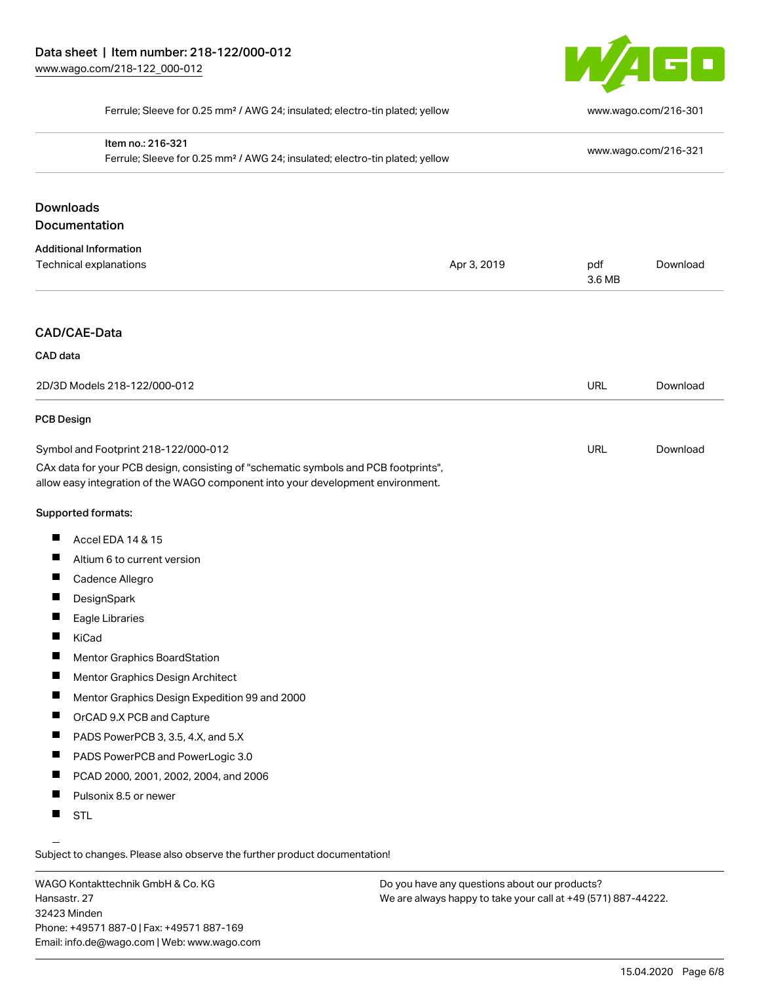

Ferrule; Sleeve for 0.25 mm² / AWG 24; insulated; electro-tin plated; yellow [www.wago.com/216-301](http://www.wago.com/216-301)

| Item no.: 216-321<br>Ferrule; Sleeve for 0.25 mm <sup>2</sup> / AWG 24; insulated; electro-tin plated; yellow                                                          |             |               | www.wago.com/216-321 |
|------------------------------------------------------------------------------------------------------------------------------------------------------------------------|-------------|---------------|----------------------|
| <b>Downloads</b>                                                                                                                                                       |             |               |                      |
| Documentation                                                                                                                                                          |             |               |                      |
| <b>Additional Information</b>                                                                                                                                          |             |               |                      |
| Technical explanations                                                                                                                                                 | Apr 3, 2019 | pdf<br>3.6 MB | Download             |
| <b>CAD/CAE-Data</b>                                                                                                                                                    |             |               |                      |
| CAD data                                                                                                                                                               |             |               |                      |
| 2D/3D Models 218-122/000-012                                                                                                                                           |             | <b>URL</b>    | Download             |
| <b>PCB Design</b>                                                                                                                                                      |             |               |                      |
| Symbol and Footprint 218-122/000-012                                                                                                                                   |             | <b>URL</b>    | Download             |
| CAx data for your PCB design, consisting of "schematic symbols and PCB footprints",<br>allow easy integration of the WAGO component into your development environment. |             |               |                      |
| Supported formats:                                                                                                                                                     |             |               |                      |
| п<br>Accel EDA 14 & 15                                                                                                                                                 |             |               |                      |
| Altium 6 to current version                                                                                                                                            |             |               |                      |
| Cadence Allegro                                                                                                                                                        |             |               |                      |
| <b>I</b><br>DesignSpark                                                                                                                                                |             |               |                      |
| Eagle Libraries                                                                                                                                                        |             |               |                      |
| KiCad                                                                                                                                                                  |             |               |                      |
| Mentor Graphics BoardStation                                                                                                                                           |             |               |                      |
| Mentor Graphics Design Architect                                                                                                                                       |             |               |                      |
| Mentor Graphics Design Expedition 99 and 2000                                                                                                                          |             |               |                      |
| OrCAD 9.X PCB and Capture                                                                                                                                              |             |               |                      |
| PADS PowerPCB 3, 3.5, 4.X, and 5.X<br>ш                                                                                                                                |             |               |                      |
| ш<br>PADS PowerPCB and PowerLogic 3.0                                                                                                                                  |             |               |                      |
| PCAD 2000, 2001, 2002, 2004, and 2006                                                                                                                                  |             |               |                      |
|                                                                                                                                                                        |             |               |                      |
| a ka<br>Pulsonix 8.5 or newer                                                                                                                                          |             |               |                      |

WAGO Kontakttechnik GmbH & Co. KG Hansastr. 27 32423 Minden Phone: +49571 887-0 | Fax: +49571 887-169 Email: info.de@wago.com | Web: www.wago.com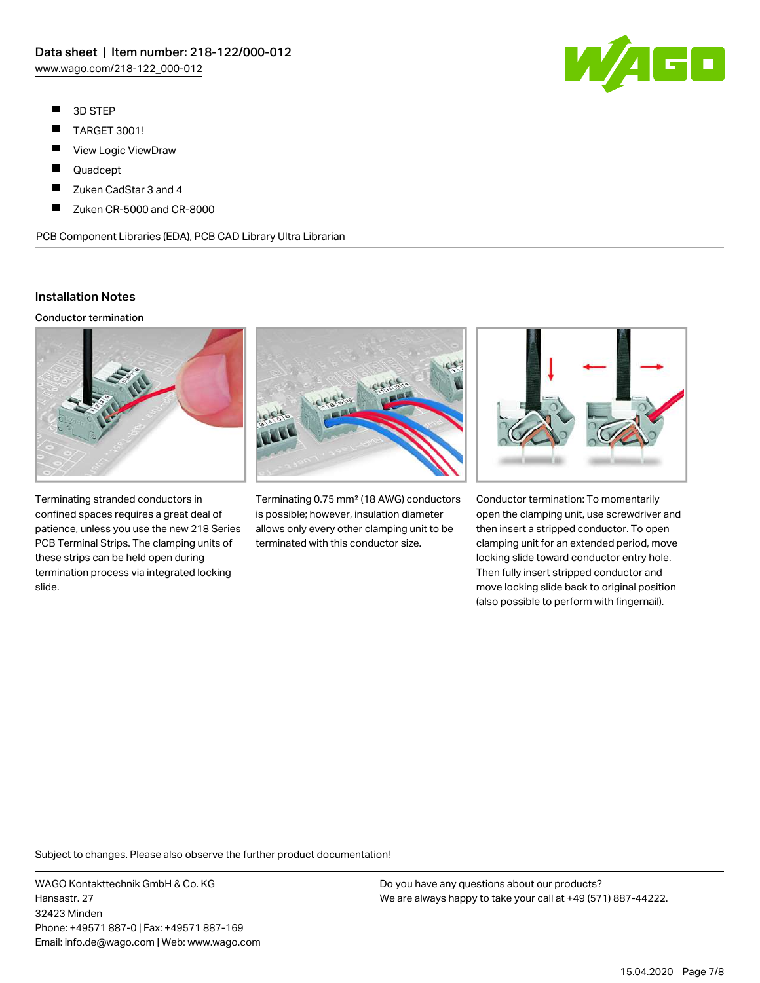- $\blacksquare$ 3D STEP
- $\blacksquare$ TARGET 3001!
- $\blacksquare$ View Logic ViewDraw
- $\blacksquare$ Quadcept
- П Zuken CadStar 3 and 4
- П Zuken CR-5000 and CR-8000

PCB Component Libraries (EDA), PCB CAD Library Ultra Librarian

# Installation Notes

#### Conductor termination



Terminating stranded conductors in confined spaces requires a great deal of patience, unless you use the new 218 Series PCB Terminal Strips. The clamping units of these strips can be held open during termination process via integrated locking slide.



Terminating 0.75 mm² (18 AWG) conductors is possible; however, insulation diameter allows only every other clamping unit to be terminated with this conductor size.



Conductor termination: To momentarily open the clamping unit, use screwdriver and then insert a stripped conductor. To open clamping unit for an extended period, move locking slide toward conductor entry hole. Then fully insert stripped conductor and move locking slide back to original position (also possible to perform with fingernail).

Subject to changes. Please also observe the further product documentation!

WAGO Kontakttechnik GmbH & Co. KG Hansastr. 27 32423 Minden Phone: +49571 887-0 | Fax: +49571 887-169 Email: info.de@wago.com | Web: www.wago.com